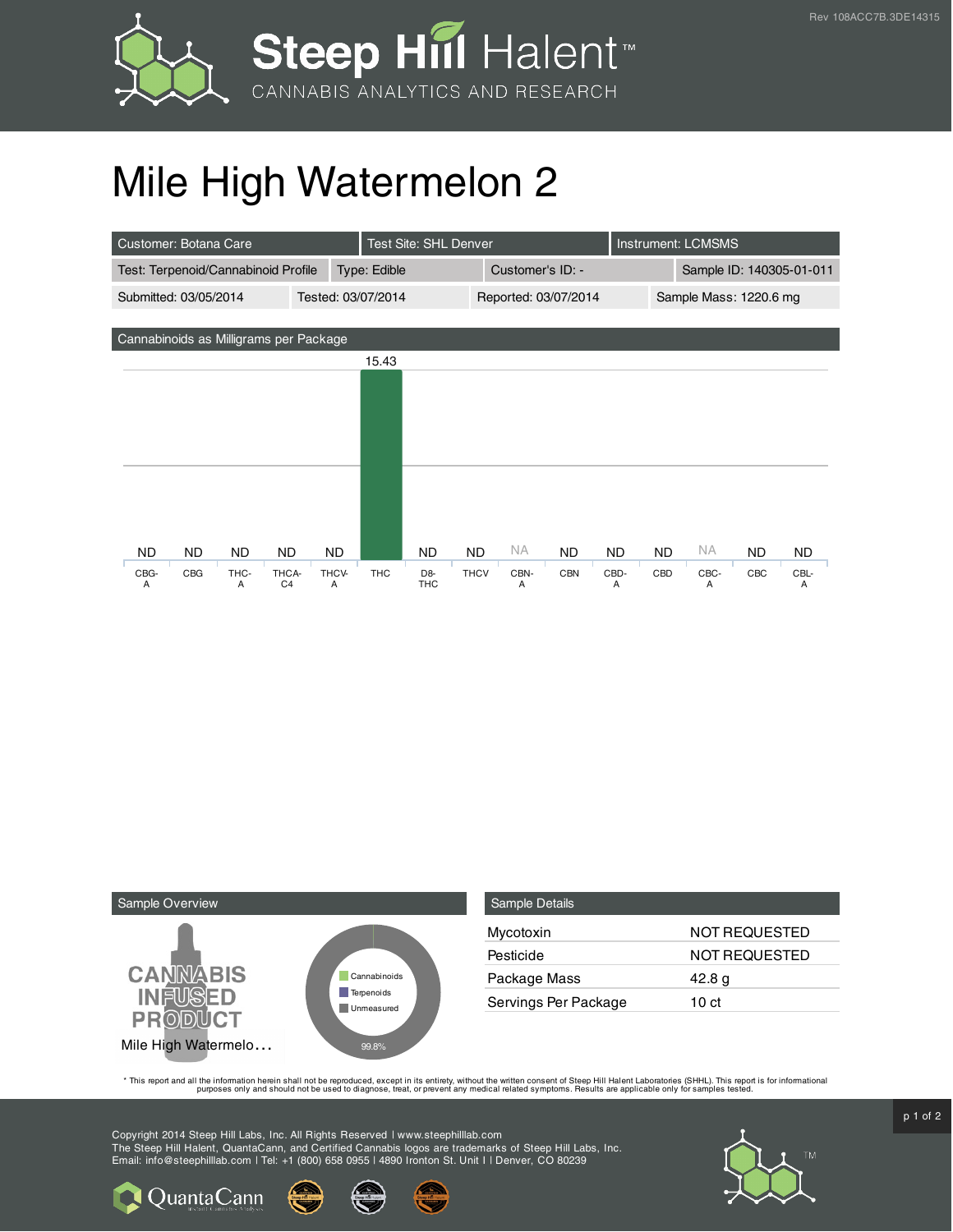



## Mile High Watermelon 2

| Customer: Botana Care                       | Test Site: SHL Denver                 |                                            |             |                      | <b>Instrument: LCMSMS</b> |           |                          |           |     |           |
|---------------------------------------------|---------------------------------------|--------------------------------------------|-------------|----------------------|---------------------------|-----------|--------------------------|-----------|-----|-----------|
| Test: Terpenoid/Cannabinoid Profile         |                                       | Type: Edible                               |             | Customer's ID: -     |                           |           | Sample ID: 140305-01-011 |           |     |           |
| Submitted: 03/05/2014<br>Tested: 03/07/2014 |                                       |                                            |             | Reported: 03/07/2014 |                           |           | Sample Mass: 1220.6 mg   |           |     |           |
|                                             |                                       |                                            |             |                      |                           |           |                          |           |     |           |
| Cannabinoids as Milligrams per Package      |                                       |                                            |             |                      |                           |           |                          |           |     |           |
|                                             |                                       | 15.43                                      |             |                      |                           |           |                          |           |     |           |
|                                             |                                       |                                            |             |                      |                           |           |                          |           |     |           |
|                                             |                                       |                                            |             |                      |                           |           |                          |           |     |           |
|                                             |                                       |                                            |             |                      |                           |           |                          |           |     |           |
|                                             |                                       |                                            |             |                      |                           |           |                          |           |     |           |
|                                             |                                       |                                            |             |                      |                           |           |                          |           |     |           |
|                                             |                                       |                                            |             |                      |                           |           |                          |           |     |           |
|                                             |                                       |                                            |             |                      |                           |           |                          |           |     |           |
| <b>ND</b><br>ND.<br>ND.                     | <b>ND</b><br>ND.                      | ND                                         | <b>ND</b>   | NA.                  | <b>ND</b>                 | <b>ND</b> | <b>ND</b>                | ΝA        | ND. | <b>ND</b> |
| CBG-<br>CBG<br>THC-<br>A<br>A               | THCV-<br>THCA-<br>C <sub>4</sub><br>A | <b>THC</b><br>D <sub>8</sub><br><b>THC</b> | <b>THCV</b> | CBN-<br>A            | <b>CBN</b>                | CBD-<br>A | CBD                      | CBC-<br>A | CBC | CBL-<br>A |



**Q**uantaCann

| <b>Sample Details</b> |                      |
|-----------------------|----------------------|
| Mycotoxin             | NOT REQUESTED        |
| Pesticide             | <b>NOT REQUESTED</b> |
| Package Mass          | 42.8 g               |
| Servings Per Package  | 10 ct                |

This report and all the information herein shall not be reporduced, except in its entirety, without the written consent of Steep Hill Halent Laboratories (SHHL). This report is for informational all the instance, treat, or

Copyright 2014 Steep Hill Labs, Inc. All Rights Reserved | www.steephilllab.com The Steep Hill Halent, QuantaCann, and Certified Cannabis logos are trademarks of Steep Hill Labs, Inc. Email: info@steephilllab.com | Tel: +1 (800) 658 0955 | 4890 Ironton St. Unit I | Denver, CO 80239